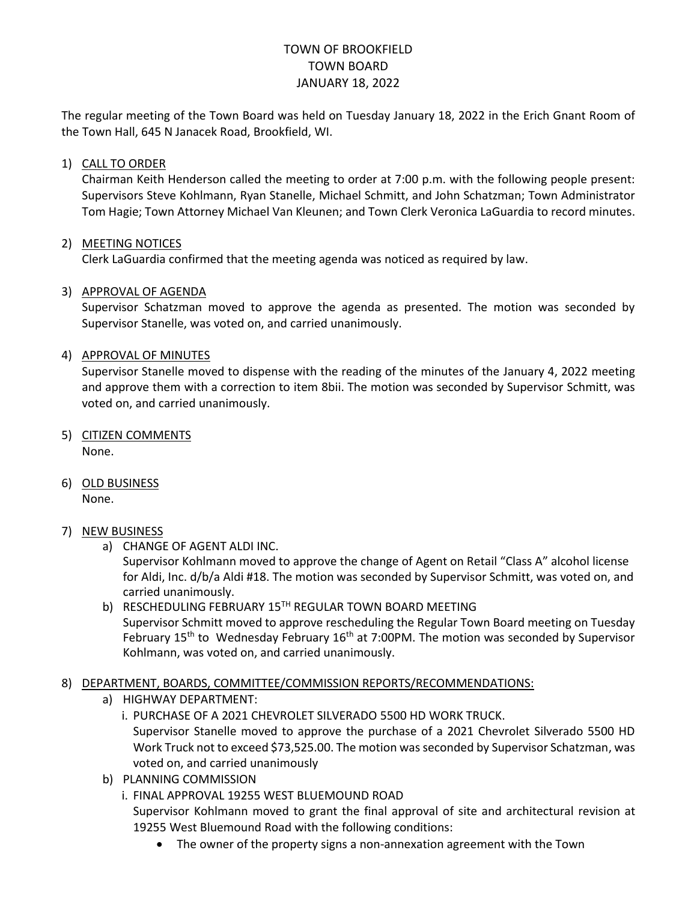# TOWN OF BROOKFIELD TOWN BOARD JANUARY 18, 2022

The regular meeting of the Town Board was held on Tuesday January 18, 2022 in the Erich Gnant Room of the Town Hall, 645 N Janacek Road, Brookfield, WI.

#### 1) CALL TO ORDER

Chairman Keith Henderson called the meeting to order at 7:00 p.m. with the following people present: Supervisors Steve Kohlmann, Ryan Stanelle, Michael Schmitt, and John Schatzman; Town Administrator Tom Hagie; Town Attorney Michael Van Kleunen; and Town Clerk Veronica LaGuardia to record minutes.

## 2) MEETING NOTICES

Clerk LaGuardia confirmed that the meeting agenda was noticed as required by law.

## 3) APPROVAL OF AGENDA

Supervisor Schatzman moved to approve the agenda as presented. The motion was seconded by Supervisor Stanelle, was voted on, and carried unanimously.

#### 4) APPROVAL OF MINUTES

Supervisor Stanelle moved to dispense with the reading of the minutes of the January 4, 2022 meeting and approve them with a correction to item 8bii. The motion was seconded by Supervisor Schmitt, was voted on, and carried unanimously.

- 5) CITIZEN COMMENTS None.
- 6) OLD BUSINESS

None.

## 7) NEW BUSINESS

a) CHANGE OF AGENT ALDI INC.

Supervisor Kohlmann moved to approve the change of Agent on Retail "Class A" alcohol license for Aldi, Inc. d/b/a Aldi #18. The motion was seconded by Supervisor Schmitt, was voted on, and carried unanimously.

b) RESCHEDULING FEBRUARY 15TH REGULAR TOWN BOARD MEETING Supervisor Schmitt moved to approve rescheduling the Regular Town Board meeting on Tuesday February 15<sup>th</sup> to Wednesday February 16<sup>th</sup> at 7:00PM. The motion was seconded by Supervisor Kohlmann, was voted on, and carried unanimously.

## 8) DEPARTMENT, BOARDS, COMMITTEE/COMMISSION REPORTS/RECOMMENDATIONS:

- a) HIGHWAY DEPARTMENT:
	- i. PURCHASE OF A 2021 CHEVROLET SILVERADO 5500 HD WORK TRUCK.

Supervisor Stanelle moved to approve the purchase of a 2021 Chevrolet Silverado 5500 HD Work Truck not to exceed \$73,525.00. The motion was seconded by Supervisor Schatzman, was voted on, and carried unanimously

- b) PLANNING COMMISSION
	- i. FINAL APPROVAL 19255 WEST BLUEMOUND ROAD Supervisor Kohlmann moved to grant the final approval of site and architectural revision at

19255 West Bluemound Road with the following conditions:

The owner of the property signs a non-annexation agreement with the Town